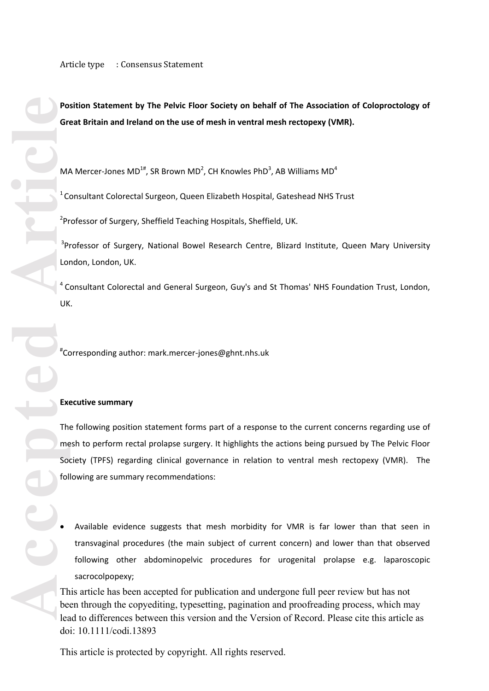**Position Statement by The Pelvic Floor Society on behalf of The Association of Coloproctology of Great Britain and Ireland on the use of mesh in ventral mesh rectopexy (VMR).**

MA Mercer-Jones MD<sup>1#</sup>, SR Brown MD<sup>2</sup>, CH Knowles PhD<sup>3</sup>, AB Williams MD<sup>4</sup>

<sup>1</sup> Consultant Colorectal Surgeon, Queen Elizabeth Hospital, Gateshead NHS Trust

<sup>2</sup>Professor of Surgery, Sheffield Teaching Hospitals, Sheffield, UK.

<sup>3</sup>Professor of Surgery, National Bowel Research Centre, Blizard Institute, Queen Mary University London, London, UK.

<sup>4</sup> Consultant Colorectal and General Surgeon, Guy's and St Thomas' NHS Foundation Trust, London, UK.

# Corresponding author: mark.mercer -jones@ghnt.nhs.uk

## **Executive summary**

The following position statement forms part of a response to the current concerns regarding use of mesh to perform rectal prolapse surgery. It highlights the actions being pursued by The Pelvic Floor Society (TPFS) regarding clinical governance in relation to ventral mesh rectopexy (VMR). The following are summary recommendations:

**Po**<br> **Article**<br> **Article**<br> **Article**<br> **Article**<br> **Article**<br> **Article**<br> **Article**<br> **Article**<br> **Article**<br> **Article**<br> **Article**<br> **Article**<br> **Article**<br> **Article**<br> **Article**<br> **Article**<br> **Article**<br> **Article**<br> **Article**<br> **Articl** Available evidence suggests that mesh morbidity for VMR is far lower than that seen in transvaginal procedures (the main subject of current concern) and lower than that observed following other abdominopelvic procedures for urogenital prolapse e.g. laparoscopic sacrocolpopexy;

This article has been accepted for publication and undergone full peer review but has not been through the copyediting, typesetting, pagination and proofreading process, which may lead to differences between this version and the Version of Record. Please cite this article as doi: 10.1111/codi.13893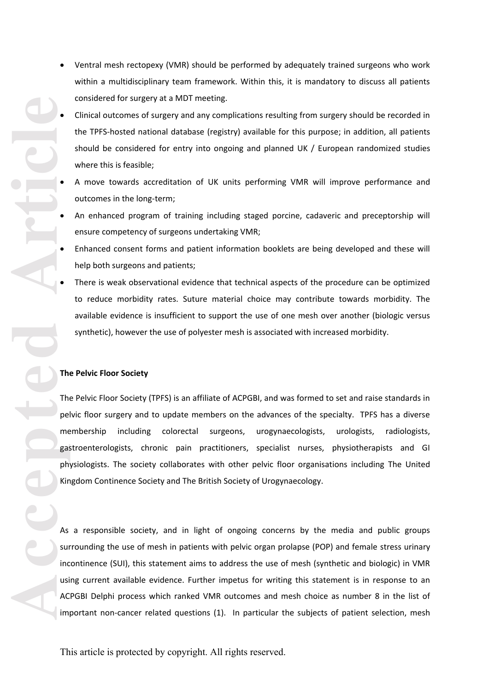- within a multidisciplinary team framework. Within this, it is mandatory to discuss all patients considered for surgery at a MDT meeting.
- Clinical outcomes of surgery and any complications resulting from surgery should be recorded in the TPFS -hosted national database (registry) available for this purpose; in addition, all patients should be considered for entry into ongoing and planned UK / European randomized studies where this is feasible;
- A move towards accreditation of UK units performing VMR will improve performance and outcomes in the long -term;
- An enhanced program of training including staged porcine, cadaveric and preceptorship will ensure competency of surgeons undertaking VMR;
- x Enhanced consent forms and patient information booklets are being developed and these will help both surgeons and patients;
- There is weak observational evidence that technical aspects of the procedure can be optimized to reduce morbidity rates. Suture material choice may contribute towards morbidity. The available evidence is insufficient to support the use of one mesh over another (biologic versus synthetic), however the use of polyester mesh is associated with increased morbidity.

## **The Pelvic Floor Society**

The Pelvic Floor Society (TPFS) is an affiliate of ACPGBI, and was formed to set and raise standards in pelvic floor surgery and to update members on the advances of the specialty. TPFS has a diverse membership including colorectal surgeons, urogynaecologists, urologists, radiologists, gastroenterologists, chronic pain practitioners, specialist nurses, physiotherapists and GI physiologists. The society collaborates with other pelvic floor organisations including The United Kingdom Continence Society and The British Society of Urogynaecology.

• Ventrial resht recting on MMS should ble performed by otelepatietly trained surgeons who work<br>somedieved for surgery at a MDT meeting.<br>
• Clinical columns of surgery at a MDT meeting.<br>
• Clinical columns of surgery at a As a responsible society, and in light of ongoing concerns by the media and public groups surrounding the use of mesh in patients with pelvic organ prolapse (POP) and female stress urinary incontinence (SUI), this statement aims to address the use of mesh (synthetic and biologic) in VMR using current available evidence. Further impetus for writing this statement is in response to an ACPGBI Delphi process which ranked VMR outcomes and mesh choice as number 8 in the list of important non -cancer related questions (1). In particular the subjects of patient selection, mesh

**Accepted Article**<br> **Article**<br> **Article**<br> **Accepted**<br> **Article**<br> **Article**<br> **Article**<br> **Article**<br> **Article**<br> **Article**<br> **Article**<br> **Article**<br> **Article**<br> **Article**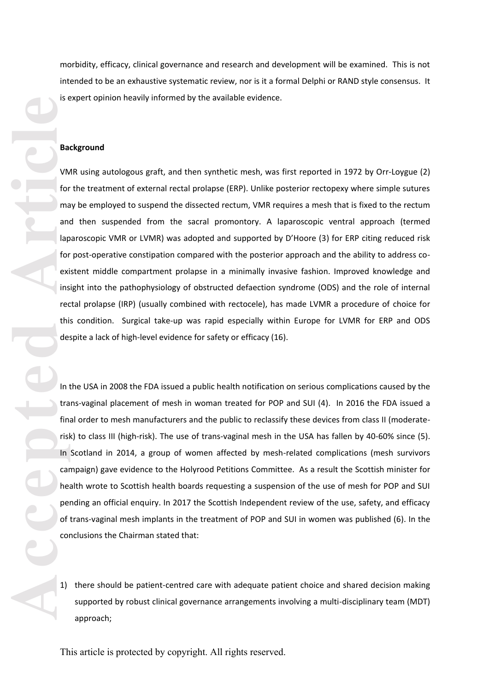morbidity, efficacy, clinical governance and research and development will be examined. This is not intended to be an exhaustive systematic review, nor is it a formal Delphi or RAND style consensus. It is expert opinion heavily informed by the available evidence.

## **Background**

VMR using autologous graft, and then synthetic mesh, was first reported in 1972 by O r r -Loygue (2) for the treatment of external rectal prolapse (ERP). Unlike posterior rectopexy where simple sutures may be employed to suspend the dissected rectum, VMR requires a mesh that is fixed to the rectum and then suspended from the sacral promontory. A laparoscopic ventral approach (termed laparoscopic VMR or LVMR) was adopted and supported by D'Hoore (3) for ERP citing reduced risk for post -operative constipation compared with the posterior approach and the ability to address co existent middle compartment prolapse in a minimally invasive fashion. Improved knowledge and insight into the pathophysiology of obstructed defaection syndrome (ODS) and the role of internal rectal prolapse (IRP) (usually combined with rectocele), has made LVMR a procedure of choice for this condition. Surgical take-up was rapid especially within Europe for LVMR for ERP and ODS despite a lack of high-level evidence for safety or efficacy (16).

**Back**<br> **Accepted**<br> **Article**<br> **Articles**<br> **Articles**<br> **Articles**<br> **Articles**<br> **Articles**<br> **Articles**<br> **Articles**<br> **Articles**<br> **Articles**<br> **Articles**<br> **Articles**<br> **Articles**<br> **Articles**<br> **Articles**<br> **Articles**<br> **Articles**<br> In the USA in 2008 the FDA issued a public health notification on serious complications caused by the trans -vaginal placement of mesh in woman treated for POP and SUI (4). In 2016 the FDA issued a final order to mesh manufacturers and the public to reclassify these devices from class II (moderate risk) to class III (high-risk). The use of trans-vaginal mesh in the USA has fallen by 40-60% since (5). In Scotland in 2014, a group of women affected by mesh -related complications (mesh survivors campaign) gave evidence to the Holyrood Petitions Committee. As a result the Scottish minister for health wrote to Scottish health boards requesting a suspension of the use of mesh for POP and SUI pending an official enquiry. In 2017 the Scottish Independent review of the use, safety, and efficacy of trans -vaginal mesh implants in the treatment of POP and SUI in women was published (6). In the conclusions the Chairman stated that:

1) there should be patient-centred care with adequate patient choice and shared decision making supported by robust clinical governance arrangements involving a multi -disciplinary team (MDT) approach;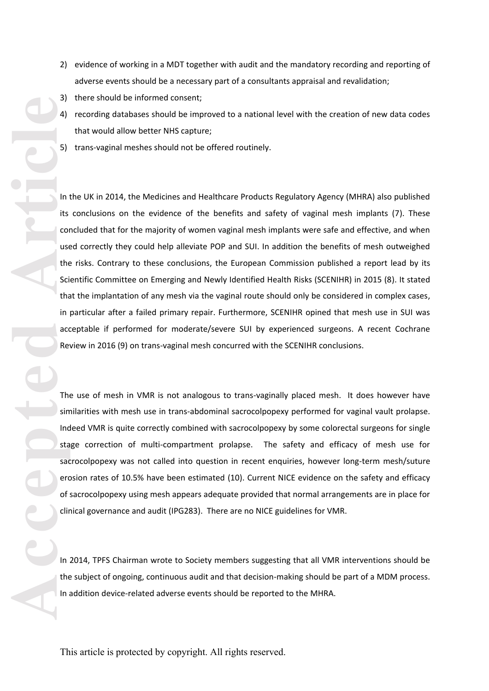- 2) evidence of working in a MDT together with audit and the mandatory recording and reporting of adverse events should be a necessary part of a consultants appraisal and revalidation;
- 3) there should be informed consent;
- 4) recording databases should be improved to a national level with the creation of new data codes that would allow better NHS capture;
- 5) trans -vaginal meshes should not be offered routinely.

**Accepted Article** In the UK in 2014, the Medicines and Healthcare Products Regulatory Agency (MHRA) also published its conclusions on the evidence of the benefits and safety of vaginal mesh implants (7). These concluded that for the majority of women vaginal mesh implants were safe and effective, and when used correctly they could help alleviate POP and SUI. In addition the benefits of mesh outweighed the risks. Contrary to these conclusions, the European Commission published a report lead by its Scientific Committee on Emerging and Newly Identified Health Risks (SCENIHR) in 2015 (8). It stated that the implantation of any mesh via the vaginal route should only be considered in complex cases, in particular after a failed primary repair. Furthermore, SCENIHR opined that mesh use in SUI was acceptable if performed for moderate/severe SUI by experienced surgeons. A recent Cochrane Review in 2016 (9) on trans-vaginal mesh concurred with the SCENIHR conclusions.

The use of mesh in VMR is not analogous to trans -vaginally placed mesh. It does however have similarities with mesh use in trans-abdominal sacrocolpopexy performed for vaginal vault prolapse. Indeed VMR is quite correctly combined with sacrocolpopexy by some colorectal surgeons for single stage correction of multi -compartment prolapse. The safety and efficacy of mesh use for sacrocolpopexy was not called into question in recent enquiries, however long -term mesh/suture erosion rates of 10.5% have been estimated (10). Current NICE evidence on the safety and efficacy of sacrocolpopexy using mesh appears adequate provided that normal arrangements are in place for clinical governance and audit (IPG283). There are no NICE guidelines for VMR.

In 2014, TPFS Chairman wrote to Society members suggesting that all VMR interventions should be the subject of ongoing, continuous audit and that decision -making should be part of a MDM process. In addition device -related adverse events should be reported to the MHRA.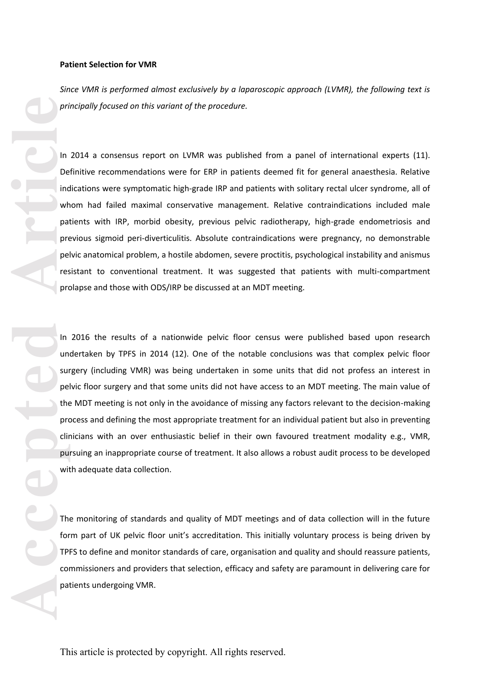## **Patient Selection for VMR**

*Since VMR is performed almost exclusively by a laparoscopic approach (LVMR), the following text is principally focused on this variant of the procedure.*

In 2014 a consensus report on LVMR was published from a panel of international experts (11). Definitive recommendations were for ERP in patients deemed fit for general anaesthesia. Relative indications were symptomatic high-grade IRP and patients with solitary rectal ulcer syndrome, all of whom had failed maximal conservative management. Relative contraindications included male patients with IRP, morbid obesity, previous pelvic radiotherapy, high -grade endometriosis and previous sigmoid peri-diverticulitis. Absolute contraindications were pregnancy, no demonstrable pelvic anatomical problem, a hostile abdomen, severe proctitis, psychological instability and anismus resistant to conventional treatment. It was suggested that patients with multi -compartment prolapse and those with ODS/IRP be discussed at an MDT meeting.

**Accepted Article**<br> **Accepted Article**<br> **Accepted**<br> **Article**<br> **Article**<br> **Article**<br> **Article**<br> **Article**<br> **Article**<br> **Article**<br> **Article**<br> **Article**<br> **Article**<br> **Article**<br> **Article**<br> **Article**<br> **Article**<br> **Article**<br> In 2016 the results of a nationwide pelvic floor census were published based upon research undertaken by TPFS in 2014 (12). One of the notable conclusions was that complex pelvic floor surgery (including VMR) was being undertaken in some units that did not profess an interest in pelvic floor surgery and that some units did not have access to an MDT meeting. The main value of the MDT meeting is not only in the avoidance of missing any factors relevant to the decision -making process and defining the most appropriate treatment for an individual patient but also in preventing clinicians with an over enthusiastic belief in their own favoured treatment modality e.g., VMR, pursuing an inappropriate course of treatment. It also allows a robust audit process to be developed with adequate data collection.

The monitoring of standards and quality of MDT meetings and of data collection will in the future form part of UK pelvic floor unit's accreditation. This initially voluntary process is being driven by TPFS to define and monitor standards of care, organisation and quality and should reassure patients, commissioners and providers that selection, efficacy and safety are paramount in delivering care for patients undergoing VMR .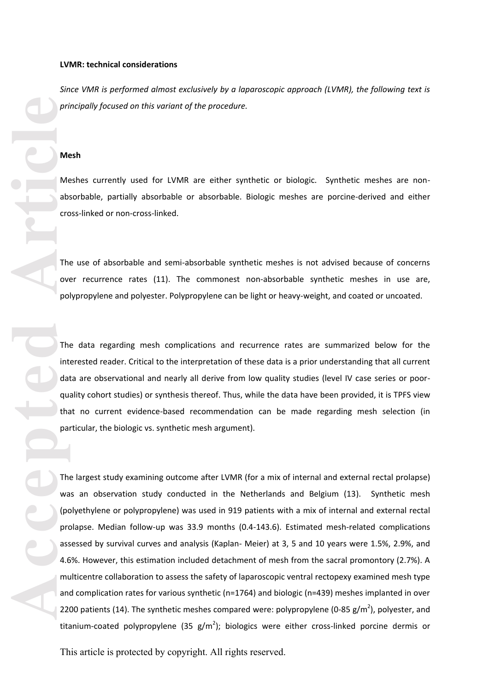## **LVMR: technical considerations**

*Since VMR is performed almost exclusively by a laparoscopic approach (LVMR), the following text is principally focused on this variant of the procedure.*

#### **Mesh**

Meshes currently used for LVMR are either synthetic or biologic. Synthetic meshes are non absorbable, partially absorbable or absorbable. Biologic meshes are porcine -derived and either cross -linked or non -cross -linked.

The use of absorbable and semi-absorbable synthetic meshes is not advised because of concerns over recurrence rates (11). The commonest no n -absorbable synthetic meshes in use are, polypropylene and polyester. Polypropylene can be light or heavy -weight, and coated or uncoated.

The data regarding mesh complications and recurrence rates are summarized below for the interested reader. Critical to the interpretation of these data is a prior understanding that all current data are observational and nearly all derive from low quality studies (level IV case series or poor quality cohort studies) or synthesis thereof. Thus, while the data have been provided, it is TPFS view that no current evidence -based recommendation can be made regarding mesh selection (in particular, the biologic vs. synthetic mesh argument).

**Accepted Articles Inc.**<br> **Article**<br> **Article**<br> **Article**<br> **Article**<br> **Article**<br> **Article**<br> **Article**<br> **Article**<br> **Article**<br> **Article**<br> **Article**<br> **Article**<br> **Article**<br> **Article**<br> **Article**<br> **Article**<br> **Article**<br> **Articl** The largest study examining outcome after LVMR (for a mix of internal and external rectal prolapse) was an observation study conducted in the Netherlands and Belgium (13). Synthetic mesh (polyethylene or polypropylene) was used in 919 patients with a mix of internal and external rectal prolapse. Median follow -up was 33.9 months (0.4 -143.6). Estimated mesh -related complications assessed by survival curves and analysis (Kaplan - Meier) at 3, 5 and 10 years were 1.5%, 2.9%, and 4.6%. However, this estimation included detachment of mesh from the sacral promontory (2.7%). A multicentre collaboration to assess the safety of laparoscopic ventral rectopexy examined mesh type and complication rates for various synthetic (n=1764) and biologic (n=439) meshes implanted in over 2200 patients (14). The synthetic meshes compared were: polypropylene (0-85 g/m<sup>2</sup>), polyester, and titanium-coated polypropylene (35 g/m<sup>2</sup>); biologics were either cross-linked porcine dermis or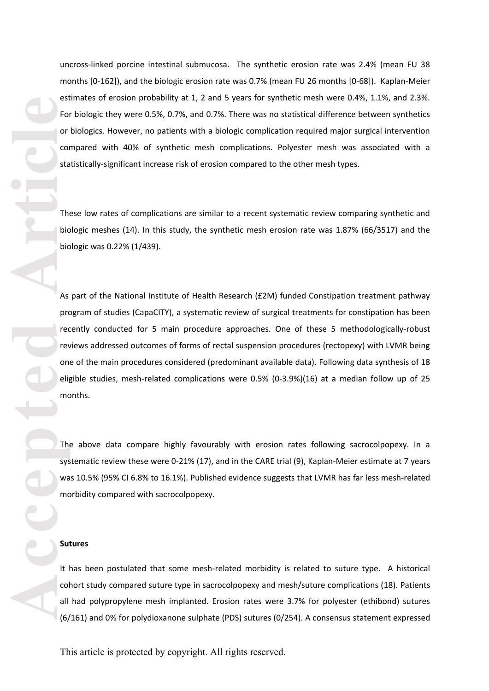uncross -linked porcine intestinal submucosa. The synthetic erosion rate was 2.4% (mean FU 38 months [0 -162]), and the biologic erosion rate was 0.7% (mean FU 26 months [0 -68]). Kaplan -Meier estimates of erosion probability at 1, 2 and 5 years for synthetic mesh were 0.4%, 1.1%, and 2.3%. For biologic they were 0.5%, 0.7%, and 0.7%. There was no statistical difference between synthetics or biologics. However, no patients with a biologic complication required major surgical intervention compared with 40% of synthetic mesh complications. Polyester mesh was associated with a statistically -significant increase risk of erosion compared to the other mesh types.

These low rates of complications are similar to a recent systematic review comparing synthetic and biologic meshes (14). In this study, the synthetic mesh erosion rate was 1.87% (66/3517) and the biologic was 0.22% (1/439).

As part of the National Institute of Health Research (£2M) funded Constipation treatment pathway program of studies (CapaCITY), a systematic review of surgical treatments for constipation has been recently conducted for 5 main procedure approaches. One of these 5 methodologically -robust reviews addressed outcomes of forms of rectal suspension procedures (rectopexy) with LVMR being one of the main procedures considered (predominant available data). Following data synthesis of 18 eligible studies, mesh-related complications were 0.5% (0-3.9%)(16) at a median follow up of 25 months.

The above data compare highly favourably with erosion rates following sacrocolpopexy. In a systematic review these were 0 -21% (17), and in the CARE trial (9), Kaplan -Meier estimate at 7 years was 10.5% (95% CI 6.8% to 16.1%). Published evidence suggests that LVMR has far less mesh -related morbidity compared with sacrocolpopexy.

## **Sutures**

It has been postulated that some mesh-related morbidity is related to suture type. A historical cohort study compared suture type in sacrocolpopexy and mesh/suture complications (18). Patients all had polypropylene mesh implanted. Erosion rates were 3.7% for polyester (ethibond) sutures (6/161) and 0% for polydioxanone sulphate (PDS) sutures (0/254). A consensus statement expressed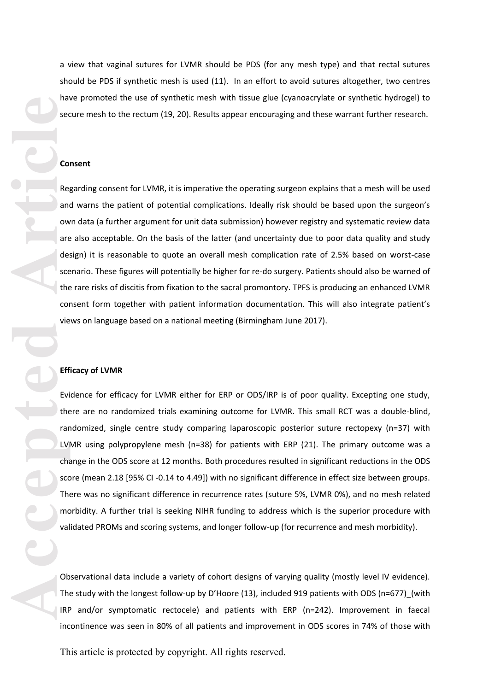a view that vaginal sutures for LVMR should be PDS (for any mesh type) and that rectal sutures should be PDS if synthetic mesh is used (11). In an effort to avoid sutures altogether, two centres have promoted the use of synthetic mesh with tissue glue (cyanoacrylate or synthetic hydrogel) to secure mesh to the rectum (19, 20). Results appear encouraging and these warrant further research.

#### **Consent**

Regarding consent for LVMR, it is imperative the operating surgeon explains that a mesh will be used and warns the patient of potential complications. Ideally risk should be based upon the surgeon's own data (a further argument for unit data submission) however registry and systematic review data are also acceptable. On the basis of the latter (and uncertainty due to poor data quality and study design) it is reasonable to quote an overall mesh complication rate of 2.5% based on worst -case scenario. These figures will potentially be higher for re -do surgery. Patients should also be warned of the rare risks of discitis from fixation to the sacral promontory. TPFS is producing an enhanced LVMR consent form together with patient information documentation. This will also integrate patient's views on language based on a national meeting (Birmingham June 2017).

#### **Efficacy of LVMR**

**Excess the conduct of the conduct of the conduct of the conduct of the conduct of the conduct of the conduct of the conduct of the conduct of the conduct of the conduct of the conduct of the conduct of the conduct of the** Evidence for efficacy for LVMR either for ERP or ODS/IRP is of poor quality. Excepting one study, there are no randomized trials examining outcome for LVMR. This small RCT was a double -blind, randomized, single centre study comparing laparoscopic posterior suture rectopexy (n=37) with LVMR using polypropylene mesh (n=38) for patients with ERP (21). The primary outcome was a change in the ODS score at 12 months. Both procedures resulted in significant reductions in the ODS score (mean 2.18 [95% CI -0.14 to 4.49]) with no significant difference in effect size between groups. There was no significant difference in recurrence rates (suture 5%, LVMR 0% ), and no mesh related morbidity. A further trial is seeking NIHR funding to address which is the superior procedure with validated PROMs and scoring systems, and longer follow -up (for recurrence and mesh morbidity).

Observational data include a variety of cohort designs of varying quality (mostly level IV evidence). The study with the longest follow-up by D'Hoore (13), included 919 patients with ODS (n=677)\_(with IRP and/or symptomatic rectocele) and patients with ERP (n=242). Improvement in faecal incontinence was seen in 80% of all patients and improvement in ODS scores in 74% of those with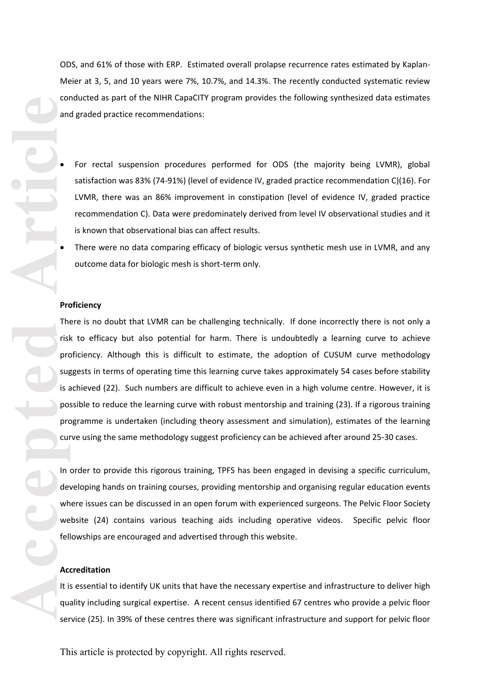ODS, and 61% of those with ERP. Estimated overall prolapse recurrence rates estimated by Kaplan - Meier at 3, 5, and 10 years were 7%, 10.7%, and 14.3%. The recently conducted systematic review conducted as part of the NIHR CapaCITY program provides the following synthesized data estimates and graded practice recommendations:

- For rectal suspension procedures performed for ODS (the majority being LVMR), global satisfaction was 83% (74 -91%) (level of evidence IV, graded practice recommendation C)(16). For LVMR, there was an 86% improvement in constipation (level of evidence IV, graded practice recommendation C). Data were predominately derived from level IV observational studies and it is known that observational bias can affect results.
- There were no data comparing efficacy of biologic versus synthetic mesh use in LVMR, and any outcome data for biologic mesh is short -term only.

## **Proficiency**

**Accepted Accepted Article**<br> **Accepted Accepted**<br> **Accepted**<br> **Accepted**<br> **Accepted**<br> **Accepted**<br> **Accepted** There is no doubt that LVMR can be challenging technically. If done incorrectly there is not only a risk to efficacy but also potential for harm. There is undoubtedly a learning curve to achieve proficiency. Although this is difficult to estimate, the adoption of CUSUM curve methodology suggests in terms of operating time this learning curve takes approximately 54 cases before stability is achieved (22). Such numbers are difficult to achieve even in a high volume centre. However, it is possible to reduce the learning curve with robust mentorship and training (23). If a rigorous training programme is undertaken (including theory assessment and simulation), estimates of the learning curve using the same methodology suggest proficiency can be achieved after around 25 -30 cases.

In order to provide this rigorous training, TPFS has been engaged in devising a specific curriculum, developing hands on training courses, providing mentorship and organising regular education events where issues can be discussed in an open forum with experienced surgeons. The Pelvic Floor Society website (24) contains various teaching aids including operative videos. Specific pelvic floor fellowships are encouraged and advertised through this website.

# **Accreditation**

It is essential to identify UK units that have the necessary expertise and infrastructure to deliver high quality including surgical expertise. A recent census identified 67 centres who provide a pelvic floor service (25). In 39% of these centres there was significant infrastructure and support for pelvic floor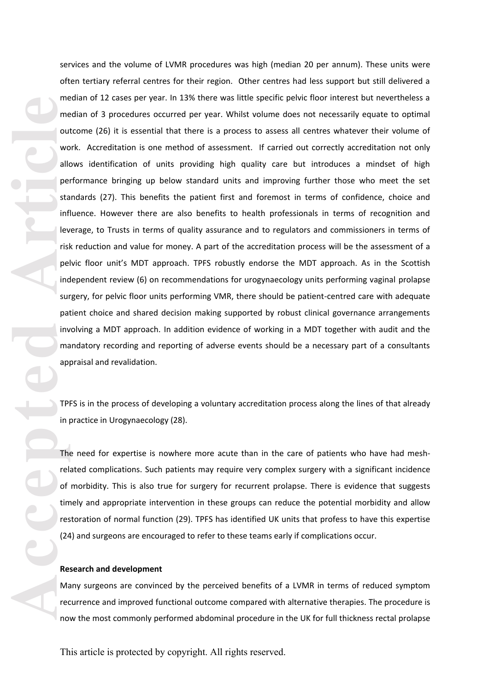me<br> **Accepted**<br>
Malk<br>
per sta<br>
infl lev<br>
ris pel<br>
ind<br>
sur pai<br>
ma<br>
per sta<br>
infl lev<br>
ris pel<br>
infl sur pai<br>
ma<br>
per sta<br>
infl sur pai<br>
ma<br>
Per sta<br>
infl infl<br>
infl<br>
Fel<br>
infl infl<br>
Fel<br>
of time<br>
risk<br>
of time<br>
risk<br>
of t services and the volume of LVMR procedures was high (median 20 per annum). These units were often tertiary referral centres for their region. Other centres had less support but still delivered a median of 12 cases per year. In 13% there was little specific pelvic floor interest but nevertheless a median of 3 procedures occurred per year. Whilst volume does not necessarily equate to optimal outcome (26) it is essential that there is a process to assess all centres whatever their volume of work. Accreditation is one method of assessment. If carried out correctly accreditation not only allows identification of units providing high quality care but introduces a mindset of high performance bringing up below standard units and improving further those who meet the set standards (27). This benefits the patient first and foremost in terms of confidence, choice and influence. However there are also benefits to health professionals in terms of recognition and leverage, to Trusts in terms of quality assurance and to regulators and commissioners in terms of risk reduction and value for money. A part of the accreditation process will be the assessment of a pelvic floor unit's MDT approach. TPFS robustly endorse the MDT approach. As in the Scottish independent review (6) on recommendations for urogynaecology units performing vaginal prolapse surgery, for pelvic floor units performing VMR, there should be patient -centred care with adequate patient choice and shared decision making supported by robust clinical governance arrangements involving a MDT approach. In addition evidence of working in a MDT together with audit and the mandatory recording and reporting of adverse events should be a necessary part of a consultants appraisal and revalidation.

TPFS is in the process of developing a voluntary accreditation process along the lines of that already in practice in Urogynaecology (28).

The need for expertise is nowhere more acute than in the care of patients who have had mesh related complications. Such patients may require very complex surgery with a significant incidence of morbidity. This is also true for surgery for recurrent prolapse. There is evidence that suggests timely and appropriate intervention in these groups can reduce the potential morbidity and allow restoration of normal function (29). TPFS has identified UK units that profess to have this expertise (24) and surgeons are encouraged to refer to these teams early if complications occur.

### **Research and development**

Many surgeons are convinced by the perceived benefits of a LVMR in terms of reduced symptom recurrence and improved functional outcome compared with alternative therapies. The procedure is now the most commonly performed abdominal procedure in the UK for full thickness rectal prolapse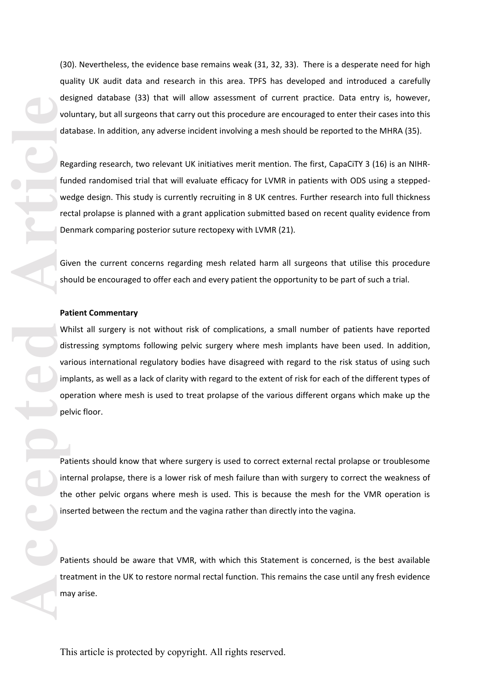(30). Nevertheless, the evidence base remains weak (31, 32, 33). There is a desperate need for high quality UK audit data and research in this area. TPFS has developed and introduced a carefully designed database (33) that will allow assessment of current practice. Data entry is, however, voluntary, but all surgeons that carry out this procedure are encouraged to enter their cases into this database. In addition, any adverse incident involving a mesh should be reported to the MHRA (35).

Regarding research, two relevant UK initiatives merit mention. The first, CapaCiTY 3 (16) is an NIHRfunded randomised trial that will evaluate efficacy for LVMR in patients with ODS using a stepped wedge design. This study is currently recruiting in 8 UK centres. Further research into full thickness rectal prolapse is planned with a grant application submitted based on recent quality evidence from Denmark comparing posterior suture rectopexy with LVMR (21).

Given the current concerns regarding mesh related harm all surgeons that utilise this procedure should be encouraged to offer each and every patient the opportunity to be part of such a trial.

## **Patient Commentary**

**Accession**<br> **Accession**<br> **Accession**<br> **Accession**<br> **Article**<br> **Accession**<br> **Article**<br> **Accession**<br> **Article**<br> **Article**<br> **Article**<br> **Article**<br> **Article**<br> **Article**<br> **Article**<br> **Article**<br> **Article**<br> **Article**<br> **Article**<br> Whilst all surgery is not without risk of complications, a small number of patients have reported distressing symptoms following pelvic surgery where mesh implants have been used. In addition, various international regulatory bodies have disagreed with regard to the risk status of using such implants, as well as a lack of clarity with regard to the extent of risk for each of the different types of operation where mesh is used to treat prolapse of the various different organs which make up the pelvic floor.

Patients should know that where surgery is used to correct external rectal prolapse or troublesome internal prolapse, there is a lower risk of mesh failure than with surgery to correct the weakness of the other pelvic organs where mesh is used. This is because the mesh for the VMR operation is inserted between the rectum and the vagina rather than directly into the vagina.

Patients should be aware that VMR, with which this Statement is concerned, is the best available treatment in the UK to restore normal rectal function. This remains the case until any fresh evidence may arise.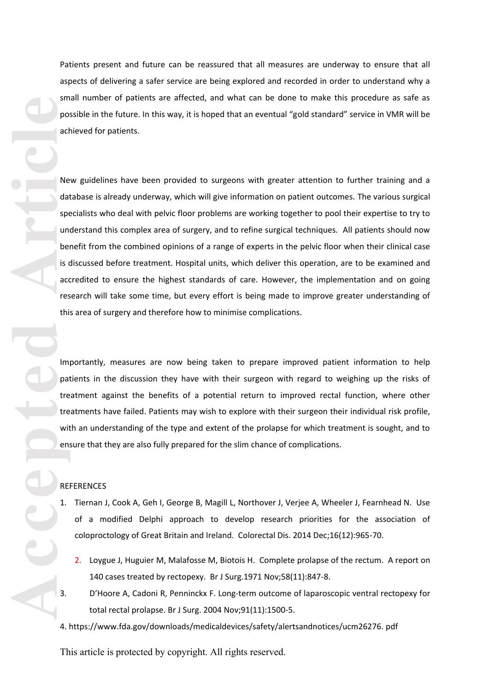Patients present and future can be reassured that all measures are underway to ensure that all aspects of delivering a safer service are being explored and recorded in order to understand why a small number of patients are affected, and what can be done to make this procedure as safe as possible in the future. In this way, it is hoped that an eventual "gold standard" service in VMR will be achieved for patients.

**Accepted Article**<br> **Article**<br> **Article**<br> **Article**<br> **Article**<br> **Article**<br> **Article**<br> **Article**<br> **Article**<br> **Article**<br> **Article**<br> **Article**<br> **Article**<br> **Article**<br> **Article**<br> **Article**<br> **Article**<br> **Article**<br> **Article**<br> **A** New guidelines have been provided to surgeons with greater attention to further training and a database is already underway, which will give information on patient outcomes. The various surgical specialists who deal with pelvic floor problems are working together to pool their expertise to try to understand this complex area of surgery, and to refine surgical techniques. All patients should now benefit from the combined opinions of a range of experts in the pelvic floor when their clinical case is discussed before treatment. Hospital units, which deliver this operation, are to be examined and accredited to ensure the highest standards of care. However, the implementation and on going research will take some time, but every effort is being made to improve greater understanding of this area of surgery and therefore how to minimise complications.

Importantly, measures are now being taken to prepare improved patient information to help patients in the discussion they have with their surgeon with regard to weighing up the risks of treatment against the benefits of a potential return to improved rectal function, where other treatments have failed. Patients may wish to explore with their surgeon their individual risk profile, with an understanding of the type and extent of the prolapse for which treatment is sought, and to ensure that they are also fully prepared for the slim chance of complications.

# **REFERENCES**

- 1. Tiernan J, Cook A, Geh I, George B, Magill L, Northover J, Verjee A, Wheeler J, Fearnhead N. Use of a modified Delphi approach to develop research priorities for the association of coloproctology of Great Britain and Ireland. Colorectal Dis. 2014 Dec;16(12):965 -70.
	- 2. Loygue J, Huguier M, Malafosse M, Biotois H. Complete prolapse of the rectum. A report on 140 cases treated by rectopexy. Br J Surg.1971 Nov;58(11):847 -8.
- 3 . D'Hoore A, Cadoni R, Penninckx F. Long-term outcome of laparoscopic ventral rectopexy for total rectal prolapse. Br J Surg. 2004 Nov;91(11):1500 -5.
- 4 . https://www.fda.gov/downloads/medicaldevices/safety/alertsandnotices/ucm26276. pdf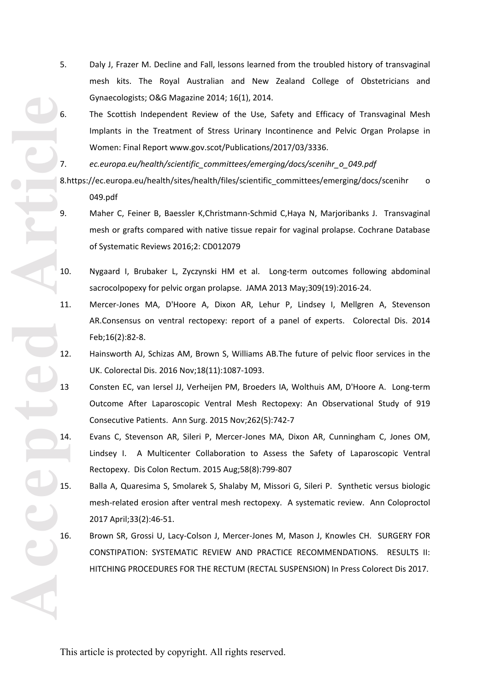- mesh kits. The Royal Australian and New Zealand College of Obstetricians and Gynaecologists; O&G Magazine 2014; 16(1), 2014.
- 6 . The Scottish Independent Review of the Use, Safety and Efficacy of Transvaginal Mesh Implants in the Treatment of Stress Urinary Incontinence and Pelvic Organ Prolapse in Women: Final Report www.gov.scot/Publications/2017/03/3336 .

7 . *ec.europa.eu/health/scientific\_committees/emerging/docs/scenihr\_o\_049.pdf*

- 8 .https://ec.europa.eu/health/sites/health/files/scientific\_committees/emerging/docs/scenihr o 049.pdf
- 9. . Maher C, Feiner B, Baessler K,Christmann -Schmid C,Haya N, Marjoribanks J. Transvaginal mesh or grafts compared with native tissue repair for vaginal prolapse. Cochrane Database of Systematic Reviews 2016;2: CD012079
- 10 . Nygaard I, Brubaker L, Zyczynski HM et al. Long-term outcomes following abdominal sacrocolpopexy for pelvic organ prolapse. JAMA 2013 May;309(19):2016 -24.
- 5. Daly Frazer Moscline and Fall, reserved. The troubled history of transvaginal mesh consideration simulation and New Zealand College of Obsetticians and Cytoscoologists, O&G Maguine 2014, 16(1), 2014.<br>
The South Independ 11 . Mercer -Jones MA, D'Hoore A, Dixon AR, Lehur P, Lindsey I, Mellgren A, Stevenson AR.Consensus on ventral rectopexy: report of a panel of experts. Colorectal Dis. 2014 Feb;16(2):82 -8.
- 12 . Hainsworth AJ, Schizas AM, Brown S, Williams AB.The future of pelvic floor services in the UK . Colorectal Dis. 2016 Nov;18(11):1087 -1093.
- 13 Consten EC, van Iersel JJ, Verheijen PM, Broeders IA, Wolthuis AM, D'Hoore A. Long-term Outcome After Laparoscopic Ventral Mesh Rectopexy: An Observational Study of 919 Consecutive Patients. Ann Surg. 2015 Nov;262(5):742 - 7
- 14. Evans C, Stevenson AR, Sileri P, Mercer -Jones MA, Dixon AR, Cunningham C, Jones OM, Lindsey I. A Multicenter Collaboration to Assess the Safety of Laparoscopic Ventral Rectopexy. Dis Colon Rectum. 2015 Aug;58(8):799 -807
- **Accepted Article** 12 15. Balla A, Quaresima S, Smolarek S, Shalaby M, Missori G, Sileri P. Synthetic versus biologic mesh-related erosion after ventral mesh rectopexy. A systematic review. Ann Coloproctol 2017 April;33(2):46 -51.
	- 16. Brown SR, Grossi U, Lacy -Colson J, Mercer -Jones M, Mason J, Knowles CH. SURGERY FOR CONSTIPATION: SYSTEMATIC REVIEW AND PRACTICE RECOMMENDATIONS. RESULTS II: HITCHING PROCEDURES FOR THE RECTUM (RECTAL SUSPENSION) In Press Colorect Dis 2017.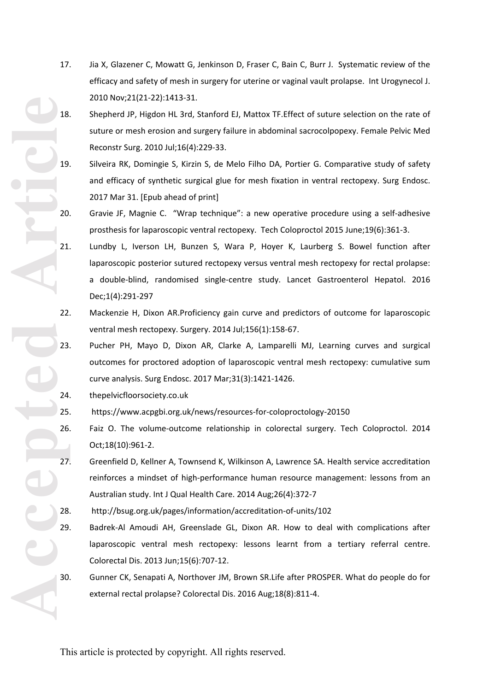- 17. Jia X, Glazener C, Mowatt G, Jenkinson D, Fraser C, Bain C, Burr J. Systematic review of the efficacy and safety of mesh in surgery for uterine or vaginal vault prolapse. Int Urogynecol J. 2010 Nov;21(21 -22):1413 -31.
- 18. Shepherd JP, Higdon HL 3rd, Stanford EJ, Mattox TF.Effect of suture selection on the rate of suture or mesh erosion and surgery failure in abdominal sacrocolpopexy. Female Pelvic Med Reconstr Surg. 2010 Jul;16(4):229 -33.
- 19. Silveira RK, Domingie S, Kirzin S, de Melo Filho DA, Portier G. Comparative study of safety and efficacy of synthetic surgical glue for mesh fixation in ventral rectopexy. Surg Endosc. 2017 Mar 31. [Epub ahead of print]
- 20. Gravie JF, Magnie C. "Wrap technique": a new operative procedure using a self adhesive prosthesis for laparoscopic ventral rectopexy. Tech Coloproctol 2015 June;19(6):361 -3.
- 21. Lundby L, Iverson LH, Bunzen S, Wara P, Hoyer K, Laurberg S. Bowel function after laparoscopic posterior sutured rectopexy versus ventral mesh rectopexy for rectal prolapse: a double-blind, randomised single-centre study. Lancet Gastroenterol Hepatol. 2016 Dec;1(4):291 -297
- 22. Mackenzie H, Dixon AR.Proficiency gain curve and predictors of outcome for laparoscopic ventral mesh rectopexy. Surgery. 2014 Jul;156(1):158 -67.
- **Accepted Articles Articles 20.**<br> **Accepted Articles Articles 20.**<br> **ARCEPTED ARCEPTED ARCEPTED ARCEPTED ARCEPTED ARCEPTED ARCEPTED ARCEPTED ARCEPTED ARCEPTED ARCEPTED ARCEPTED ARCEPTED AR** 23. Pucher PH, Mayo D, Dixon AR, Clarke A, Lamparelli MJ, Learning curves and surgical outcomes for proctored adoption of laparoscopic ventral mesh rectopexy: cumulative sum curve analysis. Surg Endosc. 2017 Mar;31(3):1421 -1426 .
	- 24. thepelvicfloorsociety.co.uk
	- 25. https://www.acpgbi.org.uk/news/resources -for -coloproctology -20150
	- 26. Faiz O. The volume -outcome relationship in colorectal surgery. Tech Coloproctol. 2014 Oct;18(10):961 -2.
	- 27. Greenfield D, Kellner A, Townsend K, Wilkinson A, Lawrence SA. Health service accreditation reinforces a mindset of high-performance human resource management: lessons from an Australian study. Int J Qual Health Care. 2014 Aug;26(4):372-7
	- 28. http://bsug.org.uk/pages/information/accreditation -of -units/102
	- 29. Badrek -Al Amoudi AH , Greenslade GL, Dixon AR. How to deal with complications after laparoscopic ventral mesh rectopexy: lessons learnt from a tertiary referral centre. Colorectal Dis. 2013 Jun;15(6):707 -12.
	- 30. Gunner CK, Senapati A, Northover JM, Brown SR.Life after PROSPER. What do people do for external rectal prolapse? Colorectal Dis. 2016 Aug;18(8):811 -4.